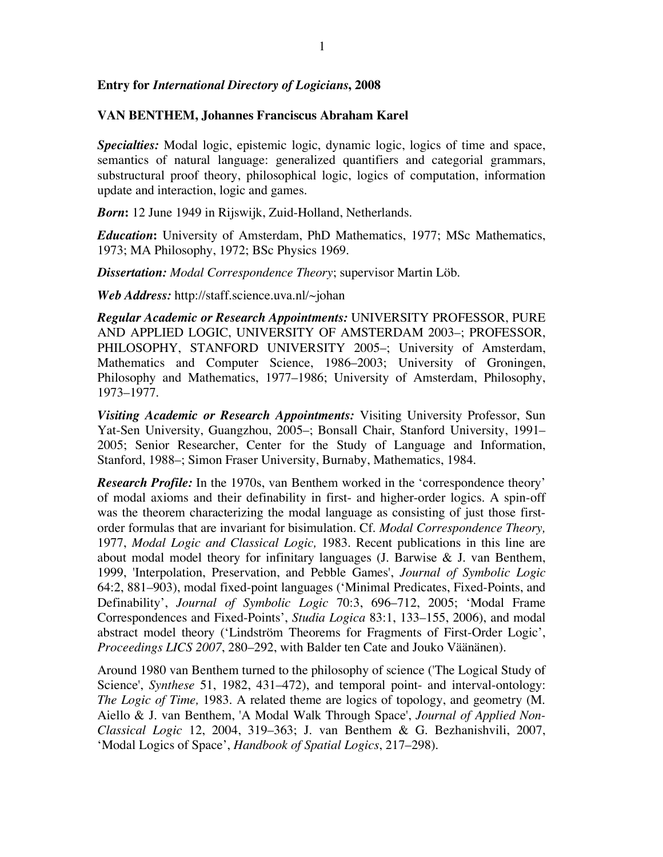## **Entry for** *International Directory of Logicians***, 2008**

## **VAN BENTHEM, Johannes Franciscus Abraham Karel**

*Specialties:* Modal logic, epistemic logic, dynamic logic, logics of time and space, semantics of natural language: generalized quantifiers and categorial grammars, substructural proof theory, philosophical logic, logics of computation, information update and interaction, logic and games.

*Born***:** 12 June 1949 in Rijswijk, Zuid-Holland, Netherlands.

*Education***:** University of Amsterdam, PhD Mathematics, 1977; MSc Mathematics, 1973; MA Philosophy, 1972; BSc Physics 1969.

*Dissertation: Modal Correspondence Theory*; supervisor Martin Löb.

*Web Address:* http://staff.science.uva.nl/~johan

*Regular Academic or Research Appointments:* UNIVERSITY PROFESSOR, PURE AND APPLIED LOGIC, UNIVERSITY OF AMSTERDAM 2003–; PROFESSOR, PHILOSOPHY, STANFORD UNIVERSITY 2005-; University of Amsterdam, Mathematics and Computer Science, 1986–2003; University of Groningen, Philosophy and Mathematics, 1977–1986; University of Amsterdam, Philosophy, 1973–1977.

*Visiting Academic or Research Appointments:* Visiting University Professor, Sun Yat-Sen University, Guangzhou, 2005–; Bonsall Chair, Stanford University, 1991– 2005; Senior Researcher, Center for the Study of Language and Information, Stanford, 1988–; Simon Fraser University, Burnaby, Mathematics, 1984.

*Research Profile:* In the 1970s, van Benthem worked in the 'correspondence theory' of modal axioms and their definability in first- and higher-order logics. A spin-off was the theorem characterizing the modal language as consisting of just those firstorder formulas that are invariant for bisimulation. Cf. *Modal Correspondence Theory,* 1977, *Modal Logic and Classical Logic,* 1983. Recent publications in this line are about modal model theory for infinitary languages (J. Barwise & J. van Benthem, 1999, 'Interpolation, Preservation, and Pebble Games', *Journal of Symbolic Logic* 64:2, 881–903), modal fixed-point languages ('Minimal Predicates, Fixed-Points, and Definability', *Journal of Symbolic Logic* 70:3, 696–712, 2005; 'Modal Frame Correspondences and Fixed-Points', *Studia Logica* 83:1, 133–155, 2006), and modal abstract model theory ('Lindström Theorems for Fragments of First-Order Logic', *Proceedings LICS 2007*, 280–292, with Balder ten Cate and Jouko Väänänen).

Around 1980 van Benthem turned to the philosophy of science ('The Logical Study of Science', *Synthese* 51, 1982, 431–472), and temporal point- and interval-ontology: *The Logic of Time,* 1983. A related theme are logics of topology, and geometry (M. Aiello & J. van Benthem, 'A Modal Walk Through Space', *Journal of Applied Non-Classical Logic* 12, 2004, 319–363; J. van Benthem & G. Bezhanishvili, 2007, 'Modal Logics of Space', *Handbook of Spatial Logics*, 217–298).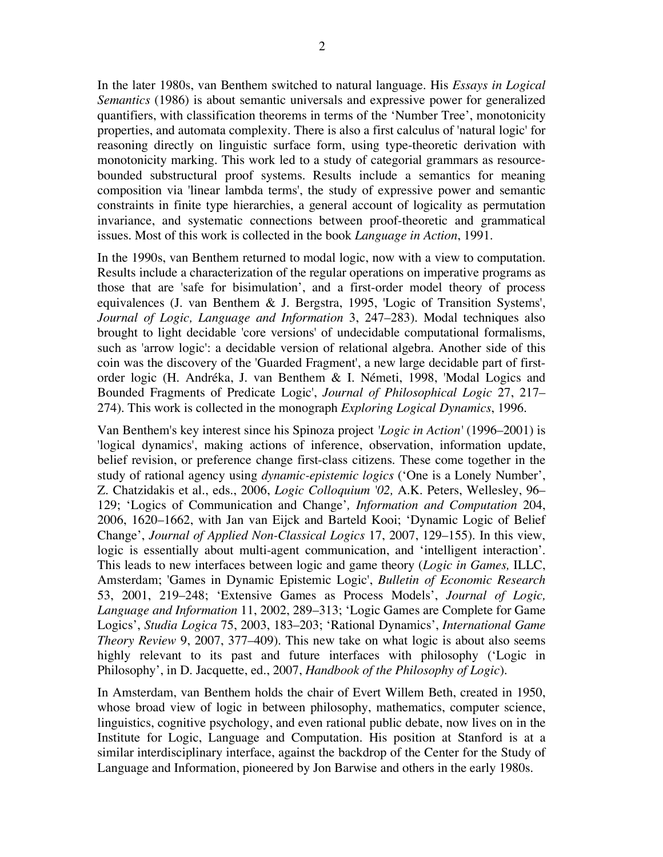In the later 1980s, van Benthem switched to natural language. His *Essays in Logical Semantics* (1986) is about semantic universals and expressive power for generalized quantifiers, with classification theorems in terms of the 'Number Tree', monotonicity properties, and automata complexity. There is also a first calculus of 'natural logic' for reasoning directly on linguistic surface form, using type-theoretic derivation with monotonicity marking. This work led to a study of categorial grammars as resourcebounded substructural proof systems. Results include a semantics for meaning composition via 'linear lambda terms', the study of expressive power and semantic constraints in finite type hierarchies, a general account of logicality as permutation invariance, and systematic connections between proof-theoretic and grammatical issues. Most of this work is collected in the book *Language in Action*, 1991.

In the 1990s, van Benthem returned to modal logic, now with a view to computation. Results include a characterization of the regular operations on imperative programs as those that are 'safe for bisimulation', and a first-order model theory of process equivalences (J. van Benthem & J. Bergstra, 1995, 'Logic of Transition Systems', *Journal of Logic, Language and Information* 3, 247–283). Modal techniques also brought to light decidable 'core versions' of undecidable computational formalisms, such as 'arrow logic': a decidable version of relational algebra. Another side of this coin was the discovery of the 'Guarded Fragment', a new large decidable part of firstorder logic (H. Andréka, J. van Benthem & I. Németi, 1998, 'Modal Logics and Bounded Fragments of Predicate Logic', *Journal of Philosophical Logic* 27, 217– 274). This work is collected in the monograph *Exploring Logical Dynamics*, 1996.

Van Benthem's key interest since his Spinoza project *'Logic in Action'* (1996–2001) is 'logical dynamics', making actions of inference, observation, information update, belief revision, or preference change first-class citizens. These come together in the study of rational agency using *dynamic-epistemic logics* ('One is a Lonely Number', Z. Chatzidakis et al., eds., 2006, *Logic Colloquium '02,* A.K. Peters, Wellesley, 96– 129; 'Logics of Communication and Change'*, Information and Computation* 204, 2006, 1620–1662, with Jan van Eijck and Barteld Kooi; 'Dynamic Logic of Belief Change', *Journal of Applied Non-Classical Logics* 17, 2007, 129–155). In this view, logic is essentially about multi-agent communication, and 'intelligent interaction'. This leads to new interfaces between logic and game theory (*Logic in Games,* ILLC, Amsterdam; 'Games in Dynamic Epistemic Logic', *Bulletin of Economic Research* 53, 2001, 219–248; 'Extensive Games as Process Models', *Journal of Logic, Language and Information* 11, 2002, 289–313; 'Logic Games are Complete for Game Logics', *Studia Logica* 75, 2003, 183–203; 'Rational Dynamics', *International Game Theory Review* 9, 2007, 377–409). This new take on what logic is about also seems highly relevant to its past and future interfaces with philosophy ('Logic in Philosophy', in D. Jacquette, ed., 2007, *Handbook of the Philosophy of Logic*).

In Amsterdam, van Benthem holds the chair of Evert Willem Beth, created in 1950, whose broad view of logic in between philosophy, mathematics, computer science, linguistics, cognitive psychology, and even rational public debate, now lives on in the Institute for Logic, Language and Computation. His position at Stanford is at a similar interdisciplinary interface, against the backdrop of the Center for the Study of Language and Information, pioneered by Jon Barwise and others in the early 1980s.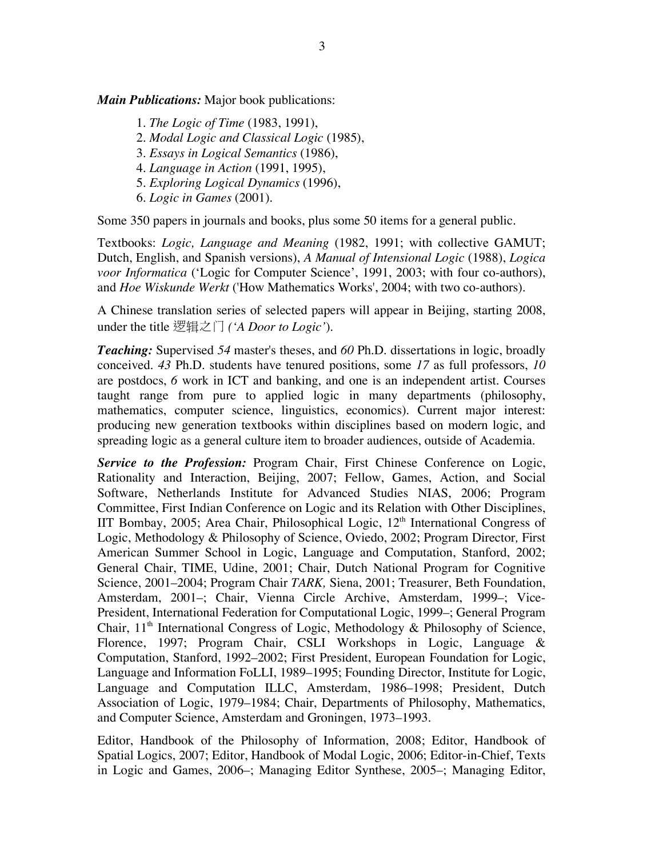*Main Publications:* Major book publications:

- 1. *The Logic of Time* (1983, 1991),
- 2. *Modal Logic and Classical Logic* (1985),
- 3. *Essays in Logical Semantics* (1986),
- 4. *Language in Action* (1991, 1995),
- 5. *Exploring Logical Dynamics* (1996),
- 6. *Logic in Games* (2001).

Some 350 papers in journals and books, plus some 50 items for a general public.

Textbooks: *Logic, Language and Meaning* (1982, 1991; with collective GAMUT; Dutch, English, and Spanish versions), *A Manual of Intensional Logic* (1988), *Logica voor Informatica* ('Logic for Computer Science', 1991, 2003; with four co-authors), and *Hoe Wiskunde Werkt* ('How Mathematics Works', 2004; with two co-authors).

A Chinese translation series of selected papers will appear in Beijing, starting 2008, under the title 逻辑之门 *('A Door to Logic'*).

*Teaching:* Supervised *54* master's theses, and *60* Ph.D. dissertations in logic, broadly conceived. *43* Ph.D. students have tenured positions, some *17* as full professors, *10*  are postdocs, *6* work in ICT and banking, and one is an independent artist. Courses taught range from pure to applied logic in many departments (philosophy, mathematics, computer science, linguistics, economics). Current major interest: producing new generation textbooks within disciplines based on modern logic, and spreading logic as a general culture item to broader audiences, outside of Academia.

*Service to the Profession:* Program Chair, First Chinese Conference on Logic, Rationality and Interaction, Beijing, 2007; Fellow, Games, Action, and Social Software, Netherlands Institute for Advanced Studies NIAS, 2006; Program Committee, First Indian Conference on Logic and its Relation with Other Disciplines, IIT Bombay, 2005; Area Chair, Philosophical Logic,  $12<sup>th</sup>$  International Congress of Logic, Methodology & Philosophy of Science, Oviedo, 2002; Program Director*,* First American Summer School in Logic, Language and Computation, Stanford, 2002; General Chair, TIME, Udine, 2001; Chair, Dutch National Program for Cognitive Science, 2001–2004; Program Chair *TARK,* Siena, 2001; Treasurer, Beth Foundation, Amsterdam, 2001–; Chair, Vienna Circle Archive, Amsterdam, 1999–; Vice-President, International Federation for Computational Logic, 1999–; General Program Chair,  $11<sup>th</sup>$  International Congress of Logic, Methodology & Philosophy of Science, Florence, 1997; Program Chair, CSLI Workshops in Logic, Language & Computation, Stanford, 1992–2002; First President, European Foundation for Logic, Language and Information FoLLI, 1989–1995; Founding Director, Institute for Logic, Language and Computation ILLC, Amsterdam, 1986–1998; President, Dutch Association of Logic, 1979–1984; Chair, Departments of Philosophy, Mathematics, and Computer Science, Amsterdam and Groningen, 1973–1993.

Editor, Handbook of the Philosophy of Information, 2008; Editor, Handbook of Spatial Logics, 2007; Editor, Handbook of Modal Logic, 2006; Editor-in-Chief, Texts in Logic and Games, 2006–; Managing Editor Synthese, 2005–; Managing Editor,